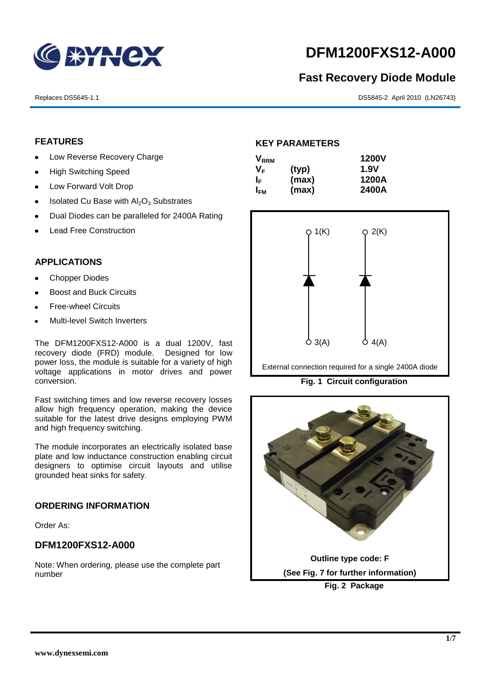

# **DFM1200FXS12-A000**

# **Fast Recovery Diode Module**

Replaces DS5645-1.1 DS5845-2 April 2010 (LN26743)

# **FEATURES**

- Low Reverse Recovery Charge
- High Switching Speed  $\bullet$
- Low Forward Volt Drop  $\bullet$
- Isolated Cu Base with  $Al_2O_3$  Substrates  $\bullet$
- Dual Diodes can be paralleled for 2400A Rating
- Lead Free Construction

# **APPLICATIONS**

- Chopper Diodes
- Boost and Buck Circuits
- Free-wheel Circuits
- Multi-level Switch Inverters

The DFM1200FXS12-A000 is a dual 1200V, fast recovery diode (FRD) module. Designed for low power loss, the module is suitable for a variety of high voltage applications in motor drives and power conversion.

Fast switching times and low reverse recovery losses allow high frequency operation, making the device suitable for the latest drive designs employing PWM and high frequency switching.

The module incorporates an electrically isolated base plate and low inductance construction enabling circuit designers to optimise circuit layouts and utilise grounded heat sinks for safety.

### **ORDERING INFORMATION**

Order As:

# **DFM1200FXS12-A000**

Note: When ordering, please use the complete part number

#### **KEY PARAMETERS**

| <b>V</b> <sub>RRM</sub> |       | <b>1200V</b> |
|-------------------------|-------|--------------|
| VF                      | (typ) | 1.9V         |
| I⊧                      | (max) | 1200A        |
| I <sub>FM</sub>         | (max) | 2400A        |



External connection required for a single 2400A diode

**Fig. 1 Circuit configuration**

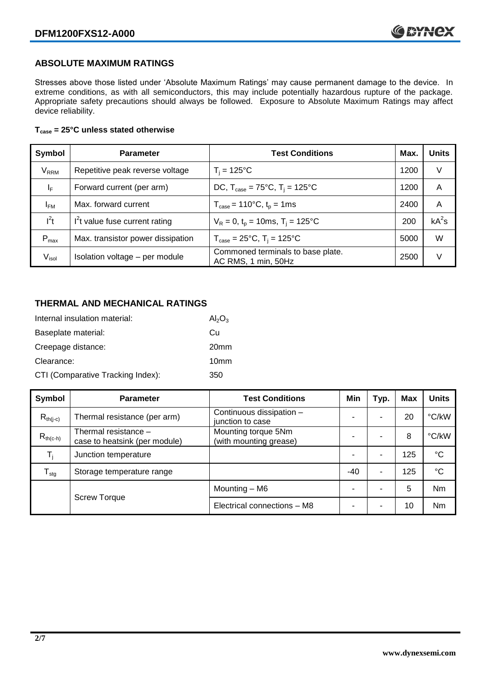# **ABSOLUTE MAXIMUM RATINGS**

Stresses above those listed under 'Absolute Maximum Ratings' may cause permanent damage to the device. In extreme conditions, as with all semiconductors, this may include potentially hazardous rupture of the package. Appropriate safety precautions should always be followed. Exposure to Absolute Maximum Ratings may affect device reliability.

### **Tcase = 25°C unless stated otherwise**

| Symbol                 | <b>Parameter</b>                  | <b>Test Conditions</b>                                     | Max. | <b>Units</b> |
|------------------------|-----------------------------------|------------------------------------------------------------|------|--------------|
| <b>V<sub>RRM</sub></b> | Repetitive peak reverse voltage   | $T_i = 125$ °C                                             | 1200 | V            |
| ΙF                     | Forward current (per arm)         | DC, $T_{\text{case}} = 75^{\circ}C$ , $T_i = 125^{\circ}C$ | 1200 | A            |
| <b>IFM</b>             | Max. forward current              | $T_{\text{case}} = 110^{\circ}C, t_{p} = 1ms$              | 2400 | A            |
| $I^2t$                 | $I2t$ value fuse current rating   | $V_R = 0$ , $t_p = 10$ ms, $T_i = 125$ °C                  | 200  | $kA^2s$      |
| $P_{\text{max}}$       | Max. transistor power dissipation | $T_{\text{case}} = 25^{\circ}C$ , $T_i = 125^{\circ}C$     | 5000 | W            |
| V <sub>isol</sub>      | Isolation voltage - per module    | Commoned terminals to base plate.<br>AC RMS, 1 min, 50Hz   | 2500 | V            |

# **THERMAL AND MECHANICAL RATINGS**

| Internal insulation material:     | $Al_2O_3$        |
|-----------------------------------|------------------|
| Baseplate material:               | Сu               |
| Creepage distance:                | 20 <sub>mm</sub> |
| Clearance:                        | 10 <sub>mm</sub> |
| CTI (Comparative Tracking Index): | 350              |

| Symbol                     | <b>Parameter</b>                                        | <b>Test Conditions</b>                        | Min   | Typ. | <b>Max</b> | <b>Units</b>    |
|----------------------------|---------------------------------------------------------|-----------------------------------------------|-------|------|------------|-----------------|
| $R_{th(i-c)}$              | Thermal resistance (per arm)                            | Continuous dissipation -<br>junction to case  |       | ۰    | 20         | °C/kW           |
| $R_{th(c-h)}$              | Thermal resistance $-$<br>case to heatsink (per module) | Mounting torque 5Nm<br>(with mounting grease) |       |      | 8          | °C/kW           |
| $T_i$                      | Junction temperature                                    |                                               |       | ۰    | 125        | $^{\circ}C$     |
| ${\mathsf T}_{\text{stg}}$ | Storage temperature range                               |                                               | $-40$ | ۰    | 125        | $\rm ^{\circ}C$ |
| <b>Screw Torque</b>        | Mounting - M6                                           |                                               | ۰     | 5    | <b>Nm</b>  |                 |
|                            |                                                         | Electrical connections - M8                   |       | ۰    | 10         | <b>Nm</b>       |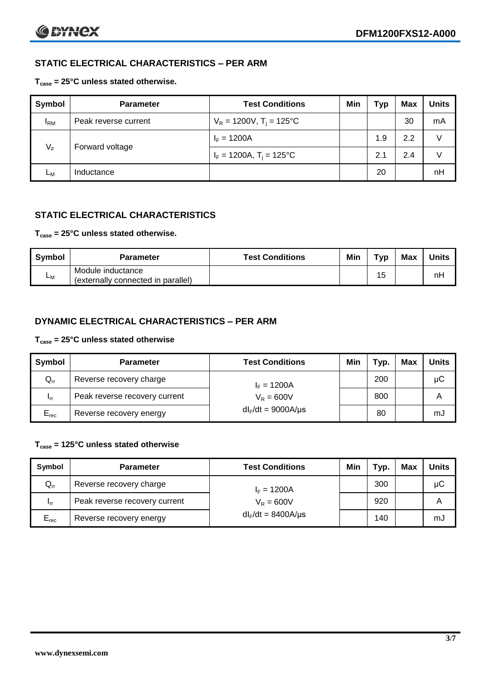# **STATIC ELECTRICAL CHARACTERISTICS – PER ARM**

# **Tcase = 25°C unless stated otherwise.**

| Symbol       | <b>Parameter</b>     | <b>Test Conditions</b>                 | Min | Typ | <b>Max</b> | <b>Units</b> |
|--------------|----------------------|----------------------------------------|-----|-----|------------|--------------|
| $I_{\rm RM}$ | Peak reverse current | $V_R = 1200V$ , T <sub>i</sub> = 125°C |     |     | 30         | mA           |
| $V_F$        | Forward voltage      | $I_F = 1200A$                          |     | 1.9 | 2.2        | V            |
|              |                      | $I_F = 1200A$ , $T_i = 125^{\circ}C$   |     | 2.1 | 2.4        | V            |
| Lм           | Inductance           |                                        |     | 20  |            | nH           |

# **STATIC ELECTRICAL CHARACTERISTICS**

# **Tcase = 25°C unless stated otherwise.**

| <b>Symbol</b> | <b>Parameter</b>                                        | <b>Test Conditions</b> | Min | Typ | <b>Max</b> | <b>Units</b> |
|---------------|---------------------------------------------------------|------------------------|-----|-----|------------|--------------|
| <b>L</b> M    | Module inductance<br>(externally connected in parallel) |                        |     | 15  |            | nH           |

# **DYNAMIC ELECTRICAL CHARACTERISTICS – PER ARM**

### **Tcase = 25°C unless stated otherwise**

| <b>Symbol</b>   | <b>Parameter</b>              | <b>Test Conditions</b>  | Min | Typ. | Max | Units |
|-----------------|-------------------------------|-------------------------|-----|------|-----|-------|
| $Q_{rr}$        | Reverse recovery charge       | $I_F = 1200A$           |     | 200  |     | μC    |
| 1 <sub>rr</sub> | Peak reverse recovery current | $V_R = 600V$            |     | 800  |     | Α     |
| $E_{rec}$       | Reverse recovery energy       | $dl_F/dt = 9000A/\mu s$ |     | 80   |     | mJ    |

### **Tcase = 125°C unless stated otherwise**

| Symbol                     | <b>Parameter</b>              | <b>Test Conditions</b>  | Min | Typ. | Max | Units |
|----------------------------|-------------------------------|-------------------------|-----|------|-----|-------|
| $\mathsf{Q}_{\mathsf{rr}}$ | Reverse recovery charge       | $I_F = 1200A$           |     | 300  |     | μC    |
| - Irr                      | Peak reverse recovery current | $V_R = 600V$            |     | 920  |     | Α     |
| $E_{rec}$                  | Reverse recovery energy       | $dl_F/dt = 8400A/\mu s$ |     | 140  |     | mJ    |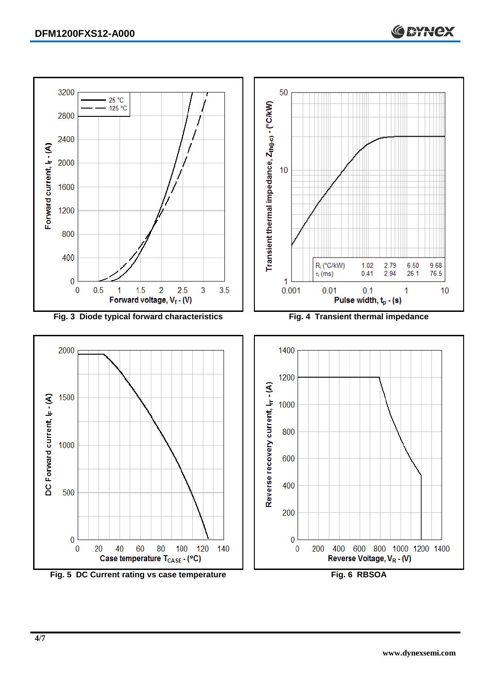

Fig. 5 DC Current rating vs case temperature **Fig. 6 RBSOA**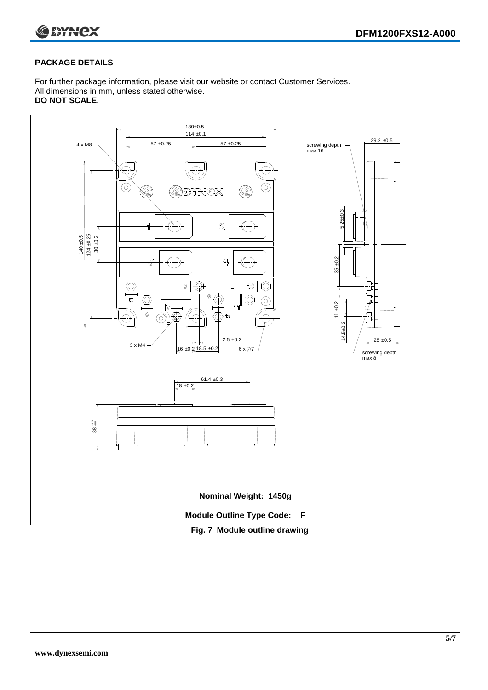

# **PACKAGE DETAILS**

For further package information, please visit our website or contact Customer Services. All dimensions in mm, unless stated otherwise. **DO NOT SCALE.**